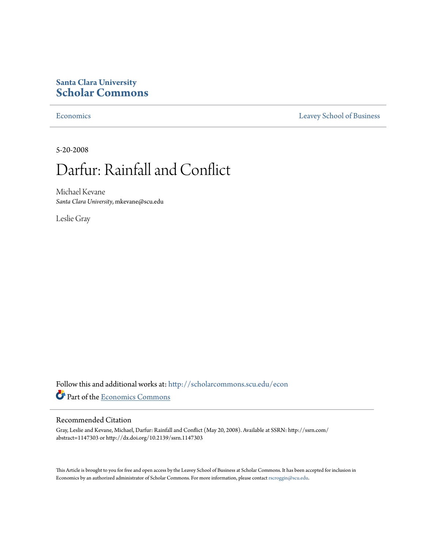## **Santa Clara University [Scholar Commons](http://scholarcommons.scu.edu?utm_source=scholarcommons.scu.edu%2Fecon%2F36&utm_medium=PDF&utm_campaign=PDFCoverPages)**

[Economics](http://scholarcommons.scu.edu/econ?utm_source=scholarcommons.scu.edu%2Fecon%2F36&utm_medium=PDF&utm_campaign=PDFCoverPages) [Leavey School of Business](http://scholarcommons.scu.edu/business?utm_source=scholarcommons.scu.edu%2Fecon%2F36&utm_medium=PDF&utm_campaign=PDFCoverPages)

5-20-2008

# Darfur: Rainfall and Conflict

Michael Kevane *Santa Clara University*, mkevane@scu.edu

Leslie Gray

Follow this and additional works at: [http://scholarcommons.scu.edu/econ](http://scholarcommons.scu.edu/econ?utm_source=scholarcommons.scu.edu%2Fecon%2F36&utm_medium=PDF&utm_campaign=PDFCoverPages) Part of the [Economics Commons](http://network.bepress.com/hgg/discipline/340?utm_source=scholarcommons.scu.edu%2Fecon%2F36&utm_medium=PDF&utm_campaign=PDFCoverPages)

### Recommended Citation

Gray, Leslie and Kevane, Michael, Darfur: Rainfall and Conflict (May 20, 2008). Available at SSRN: http://ssrn.com/ abstract=1147303 or http://dx.doi.org/10.2139/ssrn.1147303

This Article is brought to you for free and open access by the Leavey School of Business at Scholar Commons. It has been accepted for inclusion in Economics by an authorized administrator of Scholar Commons. For more information, please contact [rscroggin@scu.edu](mailto:rscroggin@scu.edu).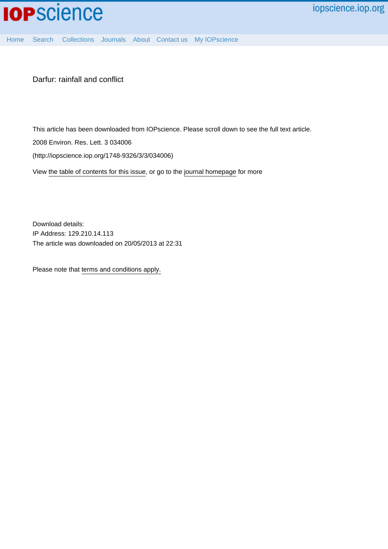

[Home](http://iopscience.iop.org/) [Search](http://iopscience.iop.org/search) [Collections](http://iopscience.iop.org/collections) [Journals](http://iopscience.iop.org/journals) [About](http://iopscience.iop.org/page/aboutioppublishing) [Contact us](http://iopscience.iop.org/contact) [My IOPscience](http://iopscience.iop.org/myiopscience)

Darfur: rainfall and conflict

This article has been downloaded from IOPscience. Please scroll down to see the full text article.

2008 Environ. Res. Lett. 3 034006

(http://iopscience.iop.org/1748-9326/3/3/034006)

View [the table of contents for this issue](http://iopscience.iop.org/1748-9326/3/3), or go to the [journal homepage](http://iopscience.iop.org/1748-9326) for more

Download details: IP Address: 129.210.14.113 The article was downloaded on 20/05/2013 at 22:31

Please note that [terms and conditions apply.](http://iopscience.iop.org/page/terms)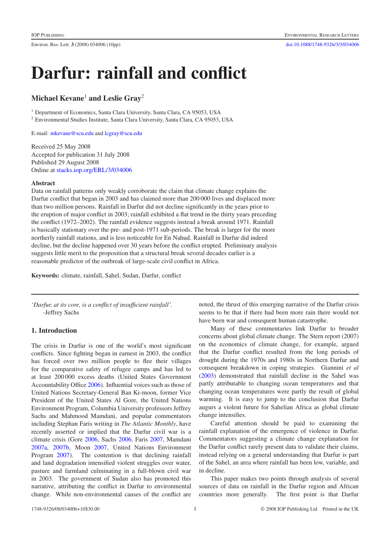# **Darfur: rainfall and conflict**

### **Michael Kevane**<sup>1</sup> **and Leslie Gray**<sup>2</sup>

<sup>1</sup> Department of Economics, Santa Clara University, Santa Clara, CA 95053, USA <sup>2</sup> Environmental Studies Institute, Santa Clara University, Santa Clara, CA 95053, USA

E-mail: [mkevane@scu.edu](mailto:mkevane@scu.edu) and [lcgray@scu.edu](mailto:lcgray@scu.edu)

Received 25 May 2008 Accepted for publication 31 July 2008 Published 29 August 2008 Online at [stacks.iop.org/ERL/3/034006](http://stacks.iop.org/ERL/3/034006)

#### **Abstract**

Data on rainfall patterns only weakly corroborate the claim that climate change explains the Darfur conflict that began in 2003 and has claimed more than 200 000 lives and displaced more than two million persons. Rainfall in Darfur did not decline significantly in the years prior to the eruption of major conflict in 2003; rainfall exhibited a flat trend in the thirty years preceding the conflict (1972–2002). The rainfall evidence suggests instead a break around 1971. Rainfall is basically stationary over the pre- and post-1971 sub-periods. The break is larger for the more northerly rainfall stations, and is less noticeable for En Nahud. Rainfall in Darfur did indeed decline, but the decline happened over 30 years before the conflict erupted. Preliminary analysis suggests little merit to the proposition that a structural break several decades earlier is a reasonable predictor of the outbreak of large-scale civil conflict in Africa.

**Keywords:** climate, rainfall, Sahel, Sudan, Darfur, conflict

*'Darfur, at its core, is a conflict of insufficient rainfall'.* -Jeffrey Sachs

#### **1. Introduction**

The crisis in Darfur is one of the world's most significant conflicts. Since fighting began in earnest in 2003, the conflict has forced over two million people to flee their villages for the comparative safety of refugee camps and has led to at least 200 000 excess deaths (United States Government Accountability Office [2006\)](#page-11-0). Influential voices such as those of United Nations Secretary-General Ban Ki-moon, former Vice President of the United States Al Gore, the United Nations Environment Program, Columbia University professors Jeffrey Sachs and Mahmood Mamdani, and popular commentators including Stephan Faris writing in *The Atlantic Monthly*, have recently asserted or implied that the Darfur civil war is a climate crisis (Gore [2006,](#page-11-1) Sachs [2006,](#page-11-2) Faris [2007,](#page-11-3) Mamdani [2007a,](#page-11-4) [2007b,](#page-11-5) Moon [2007,](#page-11-6) United Nations Environment Program [2007\)](#page-11-7). The contention is that declining rainfall and land degradation intensified violent struggles over water, pasture and farmland culminating in a full-blown civil war in 2003. The government of Sudan also has promoted this narrative, attributing the conflict in Darfur to environmental change. While non-environmental causes of the conflict are

noted, the thrust of this emerging narrative of the Darfur crisis seems to be that if there had been more rain there would not have been war and consequent human catastrophe.

Many of these commentaries link Darfur to broader concerns about global climate change. The Stern report (2007) on the economics of climate change, for example, argued that the Darfur conflict resulted from the long periods of drought during the 1970s and 1980s in Northern Darfur and consequent breakdown in coping strategies. Giannini *et al* [\(2003\)](#page-11-8) demonstrated that rainfall decline in the Sahel was partly attributable to changing ocean temperatures and that changing ocean temperatures were partly the result of global warming. It is easy to jump to the conclusion that Darfur augurs a violent future for Sahelian Africa as global climate change intensifies.

Careful attention should be paid to examining the rainfall explanation of the emergence of violence in Darfur. Commentators suggesting a climate change explanation for the Darfur conflict rarely present data to validate their claims, instead relying on a general understanding that Darfur is part of the Sahel, an area where rainfall has been low, variable, and in decline.

This paper makes two points through analysis of several sources of data on rainfall in the Darfur region and African countries more generally. The first point is that Darfur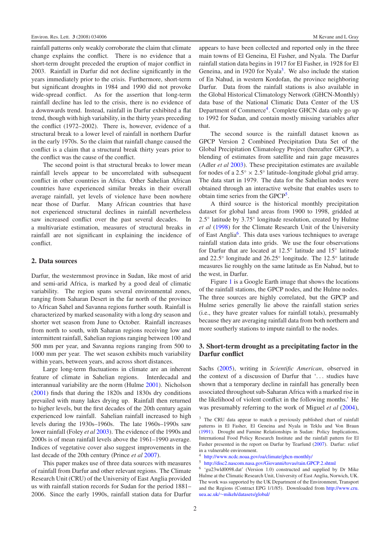rainfall patterns only weakly corroborate the claim that climate change explains the conflict. There is no evidence that a short-term drought preceded the eruption of major conflict in 2003. Rainfall in Darfur did not decline significantly in the years immediately prior to the crisis. Furthermore, short-term but significant droughts in 1984 and 1990 did not provoke wide-spread conflict. As for the assertion that long-term rainfall decline has led to the crisis, there is no evidence of a downwards trend. Instead, rainfall in Darfur exhibited a flat trend, though with high variability, in the thirty years preceding the conflict (1972–2002). There is, however, evidence of a structural break to a lower level of rainfall in northern Darfur in the early 1970s. So the claim that rainfall change caused the conflict is a claim that a structural break thirty years prior to the conflict was the cause of the conflict.

The second point is that structural breaks to lower mean rainfall levels appear to be uncorrelated with subsequent conflict in other countries in Africa. Other Sahelian African countries have experienced similar breaks in their overall average rainfall, yet levels of violence have been nowhere near those of Darfur. Many African countries that have not experienced structural declines in rainfall nevertheless saw increased conflict over the past several decades. In a multivariate estimation, measures of structural breaks in rainfall are not significant in explaining the incidence of conflict.

#### **2. Data sources**

Darfur, the westernmost province in Sudan, like most of arid and semi-arid Africa, is marked by a good deal of climatic variability. The region spans several environmental zones, ranging from Saharan Desert in the far north of the province to African Sahel and Savanna regions further south. Rainfall is characterized by marked seasonality with a long dry season and shorter wet season from June to October. Rainfall increases from north to south, with Saharan regions receiving low and intermittent rainfall, Sahelian regions ranging between 100 and 500 mm per year, and Savanna regions ranging from 500 to 1000 mm per year. The wet season exhibits much variability within years, between years, and across short distances.

Large long-term fluctuations in climate are an inherent feature of climate in Sahelian regions. Interdecadal and interannual variability are the norm (Hulme [2001\)](#page-11-9). Nicholson [\(2001\)](#page-11-10) finds that during the 1820s and 1830s dry conditions prevailed with many lakes drying up. Rainfall then returned to higher levels, but the first decades of the 20th century again experienced low rainfall. Sahelian rainfall increased to high levels during the 1930s–1960s. The late 1960s–1990s saw lower rainfall (Foley *et al* [2003\)](#page-11-11). The evidence of the 1990s and 2000s is of mean rainfall levels above the 1961–1990 average. Indices of vegetative cover also suggest improvements in the last decade of the 20th century (Prince *et al* [2007\)](#page-11-12).

This paper makes use of three data sources with measures of rainfall from Darfur and other relevant regions. The Climate Research Unit (CRU) of the University of East Anglia provided us with rainfall station records for Sudan for the period 1881– 2006. Since the early 1990s, rainfall station data for Darfur appears to have been collected and reported only in the three main towns of El Geneina, El Fasher, and Nyala. The Darfur rainfall station data begins in 1917 for El Fasher, in 1928 for El Geneina, and in 1920 for Nyal $a<sup>3</sup>$ . We also include the station of En Nahud, in western Kordofan, the province neighboring Darfur. Data from the rainfall stations is also available in the Global Historical Climatology Network (GHCN-Monthly) data base of the National Climatic Data Center of the US Department of Commerce<sup>4</sup>. Complete GHCN data only go up to 1992 for Sudan, and contain mostly missing variables after that.

The second source is the rainfall dataset known as GPCP Version 2 Combined Precipitation Data Set of the Global Precipitation Climatology Project (hereafter GPCP), a blending of estimates from satellite and rain gage measures (Adler *et al* [2003\)](#page-11-13). These precipitation estimates are available for nodes of a  $2.5^\circ \times 2.5^\circ$  latitude–longitude global grid array. The data start in 1979. The data for the Sahelian nodes were obtained through an interactive website that enables users to obtain time series from the GPC[P5](#page-3-2).

A third source is the historical monthly precipitation dataset for global land areas from 1900 to 1998, gridded at 2*.*5◦ latitude by 3*.*75◦ longitude resolution, created by Hulme *et al* [\(1998\)](#page-11-14) for the Climate Research Unit of the University of East Anglia<sup>6</sup>. This data uses various techniques to average rainfall station data into grids. We use the four observations for Darfur that are located at 12*.*5◦ latitude and 15◦ latitude and 22*.*5◦ longitude and 26*.*25◦ longitude. The 12*.*5◦ latitude measures lie roughly on the same latitude as En Nahud, but to the west, in Darfur.

Figure [1](#page-4-0) is a Google Earth image that shows the locations of the rainfall stations, the GPCP nodes, and the Hulme nodes. The three sources are highly correlated, but the GPCP and Hulme series generally lie above the rainfall station series (i.e., they have greater values for rainfall totals), presumably because they are averaging rainfall data from both northern and more southerly stations to impute rainfall to the nodes.

#### **3. Short-term drought as a precipitating factor in the Darfur conflict**

<span id="page-3-0"></span>Sachs [\(2005\)](#page-11-15), writing in *Scientific American*, observed in the context of a discussion of Darfur that '*...* studies have shown that a temporary decline in rainfall has generally been associated throughout sub-Saharan Africa with a marked rise in the likelihood of violent conflict in the following months.' He was presumably referring to the work of Miguel *et al* [\(2004\)](#page-11-16),

<span id="page-3-3"></span><span id="page-3-2"></span><span id="page-3-1"></span><sup>&</sup>lt;sup>3</sup> The CRU data appear to match a previously published chart of rainfall patterns in El Fasher, El Geneina and Nyala in Teklu and Von Braun [\(1991\)](#page-11-17). Drought and Famine Relationships in Sudan: Policy Implications, International Food Policy Research Institute and the rainfall pattern for El Fasher presented in the report on Darfur by Tearfund [\(2007\)](#page-11-18). Darfur: relief in a vulnerable environment.

<sup>4</sup> <http://www.ncdc.noaa.gov/oa/climate/ghcn-monthly/><br>5 http://disc2.noocom.nose.cov/Giovanni/tovec/min.GD

<sup>5</sup> <http://disc2.nascom.nasa.gov/Giovanni/tovas/rain.GPCP.2.shtml>

<sup>6</sup> 'gu23wld0098.dat' (Version 1.0) constructed and supplied by Dr Mike Hulme at the Climatic Research Unit, University of East Anglia, Norwich, UK. The work was supported by the UK Department of the Environment, Transport and the Regions (Contract EPG 1/1/85). Downloaded from [http://www.cru.](http://www.cru.uea.ac.uk/~mikeh/datasets/global/) [uea.ac.uk/](http://www.cru.uea.ac.uk/~mikeh/datasets/global/)[∼](http://www.cru.uea.ac.uk/~mikeh/datasets/global/)[mikeh/datasets/global/](http://www.cru.uea.ac.uk/~mikeh/datasets/global/)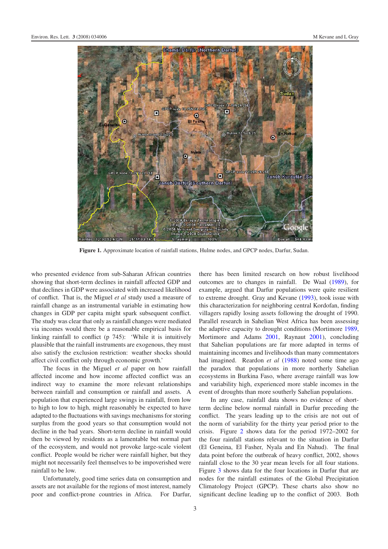<span id="page-4-0"></span>

**Figure 1.** Approximate location of rainfall stations, Hulme nodes, and GPCP nodes, Darfur, Sudan.

who presented evidence from sub-Saharan African countries showing that short-term declines in rainfall affected GDP and that declines in GDP were associated with increased likelihood of conflict. That is, the Miguel *et al* study used a measure of rainfall change as an instrumental variable in estimating how changes in GDP per capita might spark subsequent conflict. The study was clear that only as rainfall changes were mediated via incomes would there be a reasonable empirical basis for linking rainfall to conflict (p 745): 'While it is intuitively plausible that the rainfall instruments are exogenous, they must also satisfy the exclusion restriction: weather shocks should affect civil conflict only through economic growth.'

The focus in the Miguel *et al* paper on how rainfall affected income and how income affected conflict was an indirect way to examine the more relevant relationships between rainfall and consumption or rainfall and assets. A population that experienced large swings in rainfall, from low to high to low to high, might reasonably be expected to have adapted to the fluctuations with savings mechanisms for storing surplus from the good years so that consumption would not decline in the bad years. Short-term decline in rainfall would then be viewed by residents as a lamentable but normal part of the ecosystem, and would not provoke large-scale violent conflict. People would be richer were rainfall higher, but they might not necessarily feel themselves to be impoverished were rainfall to be low.

Unfortunately, good time series data on consumption and assets are not available for the regions of most interest, namely poor and conflict-prone countries in Africa. For Darfur,

there has been limited research on how robust livelihood outcomes are to changes in rainfall. De Waal [\(1989\)](#page-11-19), for example, argued that Darfur populations were quite resilient to extreme drought. Gray and Kevane [\(1993\)](#page-11-20), took issue with this characterization for neighboring central Kordofan, finding villagers rapidly losing assets following the drought of 1990. Parallel research in Sahelian West Africa has been assessing the adaptive capacity to drought conditions (Mortimore [1989,](#page-11-21) Mortimore and Adams [2001,](#page-11-22) Raynaut [2001\)](#page-11-23), concluding that Sahelian populations are far more adapted in terms of maintaining incomes and livelihoods than many commentators had imagined. Reardon *et al* [\(1988\)](#page-11-24) noted some time ago the paradox that populations in more northerly Sahelian ecosystems in Burkina Faso, where average rainfall was low and variability high, experienced more stable incomes in the event of droughts than more southerly Sahelian populations.

In any case, rainfall data shows no evidence of shortterm decline below normal rainfall in Darfur preceding the conflict. The years leading up to the crisis are not out of the norm of variability for the thirty year period prior to the crisis. Figure [2](#page-5-0) shows data for the period 1972–2002 for the four rainfall stations relevant to the situation in Darfur (El Geneina, El Fasher, Nyala and En Nahud). The final data point before the outbreak of heavy conflict, 2002, shows rainfall close to the 30 year mean levels for all four stations. Figure [3](#page-5-1) shows data for the four locations in Darfur that are nodes for the rainfall estimates of the Global Precipitation Climatology Project (GPCP). These charts also show no significant decline leading up to the conflict of 2003. Both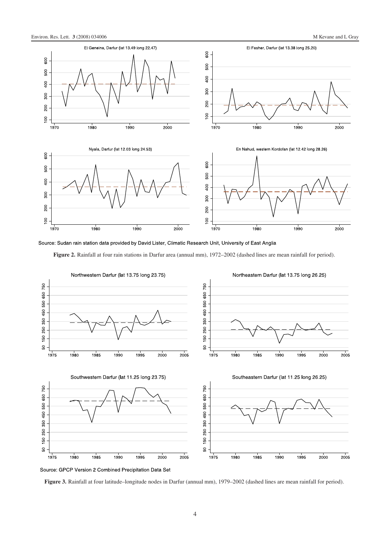<span id="page-5-0"></span>

<span id="page-5-1"></span>Source: Sudan rain station data provided by David Lister, Climatic Research Unit, University of East Anglia

**Figure 2.** Rainfall at four rain stations in Darfur area (annual mm), 1972–2002 (dashed lines are mean rainfall for period).



Source: GPCP Version 2 Combined Precipitation Data Set

**Figure 3.** Rainfall at four latitude–longitude nodes in Darfur (annual mm), 1979–2002 (dashed lines are mean rainfall for period).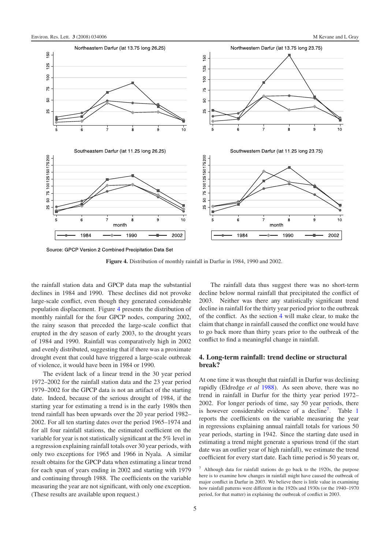<span id="page-6-0"></span>

Source: GPCP Version 2 Combined Precipitation Data Set

**Figure 4.** Distribution of monthly rainfall in Darfur in 1984, 1990 and 2002.

the rainfall station data and GPCP data map the substantial declines in 1984 and 1990. These declines did not provoke large-scale conflict, even though they generated considerable population displacement. Figure [4](#page-6-0) presents the distribution of monthly rainfall for the four GPCP nodes, comparing 2002, the rainy season that preceded the large-scale conflict that erupted in the dry season of early 2003, to the drought years of 1984 and 1990. Rainfall was comparatively high in 2002 and evenly distributed, suggesting that if there was a proximate drought event that could have triggered a large-scale outbreak of violence, it would have been in 1984 or 1990.

The evident lack of a linear trend in the 30 year period 1972–2002 for the rainfall station data and the 23 year period 1979–2002 for the GPCP data is not an artifact of the starting date. Indeed, because of the serious drought of 1984, if the starting year for estimating a trend is in the early 1980s then trend rainfall has been upwards over the 20 year period 1982– 2002. For all ten starting dates over the period 1965–1974 and for all four rainfall stations, the estimated coefficient on the variable for year is not statistically significant at the 5% level in a regression explaining rainfall totals over 30 year periods, with only two exceptions for 1965 and 1966 in Nyala. A similar result obtains for the GPCP data when estimating a linear trend for each span of years ending in 2002 and starting with 1979 and continuing through 1988. The coefficients on the variable measuring the year are not significant, with only one exception. (These results are available upon request.)

<span id="page-6-1"></span>The rainfall data thus suggest there was no short-term decline below normal rainfall that precipitated the conflict of 2003. Neither was there any statistically significant trend decline in rainfall for the thirty year period prior to the outbreak of the conflict. As the section [4](#page-6-1) will make clear, to make the claim that change in rainfall caused the conflict one would have to go back more than thirty years prior to the outbreak of the conflict to find a meaningful change in rainfall.

#### **4. Long-term rainfall: trend decline or structural break?**

At one time it was thought that rainfall in Darfur was declining rapidly (Eldredge *et al* [1988\)](#page-11-25). As seen above, there was no trend in rainfall in Darfur for the thirty year period 1972– 2002. For longer periods of time, say 50 year periods, there is however considerable evidence of a decline<sup>7</sup>. Table [1](#page-7-0) reports the coefficients on the variable measuring the year in regressions explaining annual rainfall totals for various 50 year periods, starting in 1942. Since the starting date used in estimating a trend might generate a spurious trend (if the start date was an outlier year of high rainfall), we estimate the trend coefficient for every start date. Each time period is 50 years or,

<span id="page-6-2"></span><sup>7</sup> Although data for rainfall stations do go back to the 1920s, the purpose here is to examine how changes in rainfall might have caused the outbreak of major conflict in Darfur in 2003. We believe there is little value in examining how rainfall patterns were different in the 1920s and 1930s (or the 1940–1970 period, for that matter) in explaining the outbreak of conflict in 2003.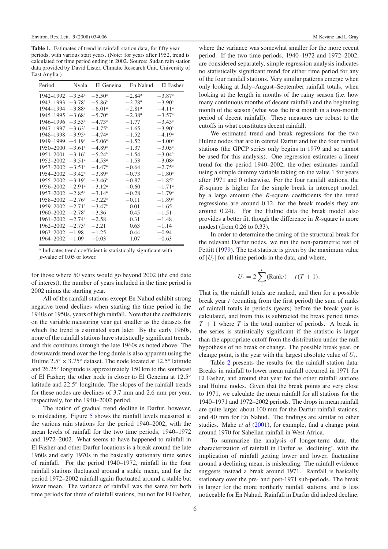<span id="page-7-0"></span>**Table 1.** Estimates of trend in rainfall station data, for fifty year periods, with various start years. (Note: for years after 1952, trend is calculated for time period ending in 2002. Source: Sudan rain station data provided by David Lister, Climatic Research Unit, University of East Anglia.)

| Period                            | Nyala                | El Geneina           | En Nahud             | El Fasher            |
|-----------------------------------|----------------------|----------------------|----------------------|----------------------|
| $1942 - 1992 - 3.54$ <sup>a</sup> |                      | $-5.50^{\rm a}$      | $-2.84$ <sup>a</sup> | $-3.87$ <sup>a</sup> |
| 1943–1993                         | $-3.78$ <sup>a</sup> | $-5.86^{\rm a}$      | $-2.78$ <sup>a</sup> | $-3.90^{\rm a}$      |
| 1944-1994                         | $-3.88^{\rm a}$      | $-6.01^{\rm a}$      | $-2.81$ <sup>a</sup> | $-4.11^a$            |
| 1945-1995                         | $-3.68^{\rm a}$      | $-5.70^{\rm a}$      | $-2.38^{a}$          | $-3.57$ <sup>a</sup> |
| 1946-1996                         | $-3.53^{\rm a}$      | $-4.73^{\rm a}$      | $-1.77$              | $-3.43^{\rm a}$      |
| 1947-1997                         | $-3.63^{\rm a}$      | $-4.75^{\rm a}$      | $-1.65$              | $-3.90^{\rm a}$      |
| 1948–1998                         | $-3.95^{\rm a}$      | $-4.74$ <sup>a</sup> | $-1.52$              | $-4.19a$             |
| 1949-1999                         | $-4.19a$             | $-5.06a$             | $-1.52$              | $-4.00a$             |
| 1950-2000                         | $-3.61^{\rm a}$      | $-4.89$ <sup>a</sup> | $-1.37$              | $-3.05^{\rm a}$      |
| 1951-2001                         | $-3.16^{\rm a}$      | $-5.24$ <sup>a</sup> | $-1.54$              | $-3.04a$             |
| 1952-2002                         | $-3.51^{\circ}$      | $-4.53^{\rm a}$      | $-1.53$              | $-3.08a$             |
| 1953-2002                         | $-3.51a$             | $-4.47$ <sup>a</sup> | $-0.64$              | $-2.75^{\rm a}$      |
| 1954–2002                         | $-3.42^{\rm a}$      | $-3.89$ <sup>a</sup> | $-0.73$              | $-1.80^{\rm a}$      |
| 1955-2002                         | $-3.19^{\rm a}$      | $-3.46^{\rm a}$      | $-0.87$              | $-1.85^{\rm a}$      |
| 1956-2002                         | $-2.91^{\rm a}$      | $-3.12^a$            | $-0.60$              | $-1.71^{\rm a}$      |
| 1957-2002                         | $-2.85^{\rm a}$      | $-3.14$ <sup>a</sup> | $-0.28$              | $-1.79$ <sup>a</sup> |
| 1958-2002                         | $-2.76^{\circ}$      | $-3.22^{\rm a}$      | $-0.11$              | $-1.89$ <sup>a</sup> |
| 1959-2002                         | $-2.71$ <sup>a</sup> | $-3.47$ <sup>a</sup> | 0.01                 | $-1.65$              |
| 1960-2002                         | $-2.78$ <sup>a</sup> | $-3.36$              | 0.45                 | $-1.51$              |
| 1961-2002                         | $-2.74$ <sup>a</sup> | $-2.58$              | 0.31                 | $-1.48$              |
| 1962-2002                         | $-2.73^{\rm a}$      | $-2.21$              | 0.63                 | $-1.14$              |
| 1963-2002                         | $-1.98$              | $-1.25$              | 0.44                 | $-0.94$              |
| 1964–2002                         | $-1.09$              | $-0.03$              | 1.07                 | $-0.63$              |

<sup>&</sup>lt;sup>a</sup> Indicates trend coefficient is statistically significant with *p*-value of 0.05 or lower.

for those where 50 years would go beyond 2002 (the end date of interest), the number of years included in the time period is 2002 minus the starting year.

All of the rainfall stations except En Nahud exhibit strong negative trend declines when starting the time period in the 1940s or 1950s, years of high rainfall. Note that the coefficients on the variable measuring year get smaller as the datasets for which the trend is estimated start later. By the early 1960s, none of the rainfall stations have statistically significant trends, and this continues through the late 1960s as noted above. The downwards trend over the long durée is also apparent using the Hulme 2*.*5◦ ×3*.*75◦ dataset. The node located at 12*.*5◦ latitude and 26*.*25◦ longitude is approximately 150 km to the southeast of El Fasher; the other node is closer to El Geneina at 12*.*5◦ latitude and 22*.*5◦ longitude. The slopes of the rainfall trends for these nodes are declines of 3.7 mm and 2.6 mm per year, respectively, for the 1940–2002 period.

The notion of gradual trend decline in Darfur, however, is misleading. Figure [5](#page-8-0) shows the rainfall levels measured at the various rain stations for the period 1940–2002, with the mean levels of rainfall for the two time periods, 1940–1972 and 1972–2002. What seems to have happened to rainfall in El Fasher and other Darfur locations is a break around the late 1960s and early 1970s in the basically stationary time series of rainfall. For the period 1940–1972, rainfall in the four rainfall stations fluctuated around a stable mean, and for the period 1972–2002 rainfall again fluctuated around a stable but lower mean. The variance of rainfall was the same for both time periods for three of rainfall stations, but not for El Fasher, where the variance was somewhat smaller for the more recent period. If the two time periods, 1940–1972 and 1972–2002, are considered separately, simple regression analysis indicates no statistically significant trend for either time period for any of the four rainfall stations. Very similar patterns emerge when only looking at July–August–September rainfall totals, when looking at the length in months of the rainy season (i.e. how many continuous months of decent rainfall) and the beginning month of the season (what was the first month in a two-month period of decent rainfall). These measures are robust to the cutoffs in what constitutes decent rainfall.

We estimated trend and break regressions for the two Hulme nodes that are in central Darfur and for the four rainfall stations (the GPCP series only begins in 1979 and so cannot be used for this analysis). One regression estimates a linear trend for the period 1940–2002, the other estimates rainfall using a simple dummy variable taking on the value 1 for years after 1971 and 0 otherwise. For the four rainfall stations, the *R*-square is higher for the simple break in intercept model, by a large amount (the *R*-square coefficients for the trend regressions are around 0.12, for the break models they are around 0.24). For the Hulme data the break model also provides a better fit, though the difference in *R*-square is more modest (from 0.26 to 0.33).

In order to determine the timing of the structural break for the relevant Darfur nodes, we run the non-parametric test of Pettitt [\(1979\)](#page-11-26). The test statistic is given by the maximum value of  $|U_t|$  for all time periods in the data, and where,

$$
U_t = 2 \sum_{1}^{t} (\text{Rank}_i) - t(T + 1).
$$

That is, the rainfall totals are ranked, and then for a possible break year *t* (counting from the first period) the sum of ranks of rainfall totals in periods (years) before the break year is calculated, and from this is subtracted the break period times  $T + 1$  where *T* is the total number of periods. A break in the series is statistically significant if the statistic is larger than the appropriate cutoff from the distribution under the null hypothesis of no break or change. The possible break year, or change point, is the year with the largest absolute value of  $U_t$ .

Table [2](#page-8-1) presents the results for the rainfall station data. Breaks in rainfall to lower mean rainfall occurred in 1971 for El Fasher, and around that year for the other rainfall stations and Hulme nodes. Given that the break points are very close to 1971, we calculate the mean rainfall for all stations for the 1940–1971 and 1972–2002 periods. The drops in mean rainfall are quite large: about 100 mm for the Darfur rainfall stations, and 40 mm for En Nahud. The findings are similar to other studies. Mahe *et al* [\(2001\)](#page-11-27), for example, find a change point around 1970 for Sahelian rainfall in West Africa.

To summarize the analysis of longer-term data, the characterization of rainfall in Darfur as 'declining', with the implication of rainfall getting lower and lower, fluctuating around a declining mean, is misleading. The rainfall evidence suggests instead a break around 1971. Rainfall is basically stationary over the pre- and post-1971 sub-periods. The break is larger for the more northerly rainfall stations, and is less noticeable for En Nahud. Rainfall in Darfur did indeed decline,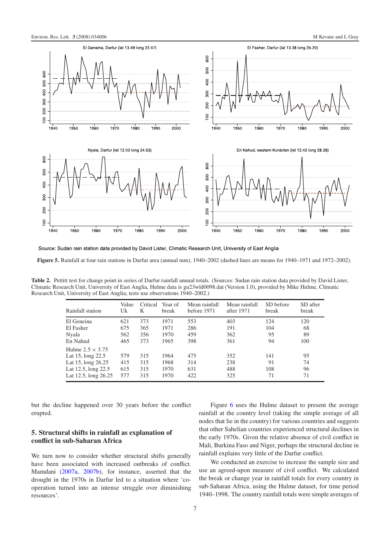<span id="page-8-0"></span>

<span id="page-8-1"></span>Source: Sudan rain station data provided by David Lister, Climatic Research Unit, University of East Anglia

**Figure 5.** Rainfall at four rain stations in Darfur area (annual mm), 1940–2002 (dashed lines are means for 1940–1971 and 1972–2002).

**Table 2.** Pettitt test for change point in series of Darfur rainfall annual totals. (Sources: Sudan rain station data provided by David Lister, Climatic Research Unit, University of East Anglia, Hulme data is gu23wld0098.dat (Version 1.0), provided by Mike Hulme, Climatic Research Unit, University of East Anglia; tests use observations 1940–2002.)

| Rainfall station        | Value<br>Uk | Critical<br>K | Year of<br>break | Mean rainfall<br>before 1971 | Mean rainfall<br>after 1971 | SD before<br>break | SD after<br>break |
|-------------------------|-------------|---------------|------------------|------------------------------|-----------------------------|--------------------|-------------------|
| El Geneina              | 621         | 373           | 1971             | 553                          | 403                         | 124                | 120               |
| El Fasher               | 675         | 365           | 1971             | 286                          | 191                         | 104                | 68                |
| Nyala                   | 562         | 356           | 1970             | 459                          | 362                         | 95                 | 89                |
| En Nahud                | 465         | 373           | 1965             | 398                          | 361                         | 94                 | 100               |
| Hulme $2.5 \times 3.75$ |             |               |                  |                              |                             |                    |                   |
| Lat 15, long 22.5       | 579         | 315           | 1964             | 475                          | 352                         | 141                | 95                |
| Lat 15, $long\ 26.25$   | 415         | 315           | 1968             | 314                          | 238                         | 91                 | 74                |
| Lat 12.5, long 22.5     | 615         | 315           | 1970             | 631                          | 488                         | 108                | 96                |
| Lat 12.5, long 26.25    | 577         | 315           | 1970             | 422                          | 325                         | 71                 | 71                |

but the decline happened over 30 years before the conflict erupted.

#### **5. Structural shifts in rainfall as explanation of conflict in sub-Saharan Africa**

We turn now to consider whether structural shifts generally have been associated with increased outbreaks of conflict. Mamdani [\(2007a,](#page-11-4) [2007b\)](#page-11-5), for instance, asserted that the drought in the 1970s in Darfur led to a situation where 'cooperation turned into an intense struggle over diminishing resources'.

Figure [6](#page-9-0) uses the Hulme dataset to present the average rainfall at the country level (taking the simple average of all nodes that lie in the country) for various countries and suggests that other Sahelian countries experienced structural declines in the early 1970s. Given the relative absence of civil conflict in Mali, Burkina Faso and Niger, perhaps the structural decline in rainfall explains very little of the Darfur conflict.

We conducted an exercise to increase the sample size and use an agreed-upon measure of civil conflict. We calculated the break or change year in rainfall totals for every country in sub-Saharan Africa, using the Hulme dataset, for time period 1940–1998. The country rainfall totals were simple averages of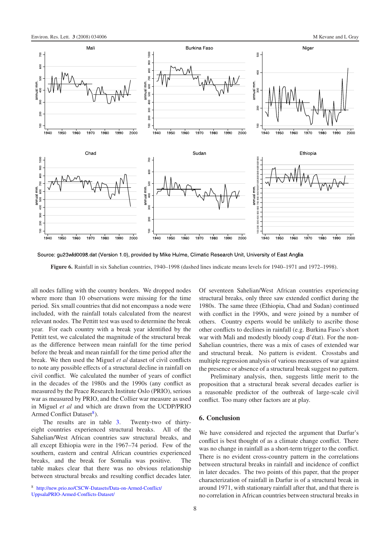<span id="page-9-0"></span>

Source: gu23wld0098.dat (Version 1.0), provided by Mike Hulme, Climatic Research Unit, University of East Anglia

**Figure 6.** Rainfall in six Sahelian countries, 1940–1998 (dashed lines indicate means levels for 1940–1971 and 1972–1998).

all nodes falling with the country borders. We dropped nodes where more than 10 observations were missing for the time period. Six small countries that did not encompass a node were included, with the rainfall totals calculated from the nearest relevant nodes. The Pettitt test was used to determine the break year. For each country with a break year identified by the Pettitt test, we calculated the magnitude of the structural break as the difference between mean rainfall for the time period before the break and mean rainfall for the time period after the break. We then used the Miguel *et al* dataset of civil conflicts to note any possible effects of a structural decline in rainfall on civil conflict. We calculated the number of years of conflict in the decades of the 1980s and the 1990s (any conflict as measured by the Peace Research Institute Oslo (PRIO), serious war as measured by PRIO, and the Collier war measure as used in Miguel *et al* and which are drawn from the UCDP/PRIO Armed Conflict Dataset $8$ ).

<span id="page-9-1"></span>The results are in table [3.](#page-10-0) Twenty-two of thirtyeight countries experienced structural breaks. All of the Sahelian/West African countries saw structural breaks, and all except Ethiopia were in the 1967–74 period. Few of the southern, eastern and central African countries experienced breaks, and the break for Somalia was positive. The table makes clear that there was no obvious relationship between structural breaks and resulting conflict decades later. Of seventeen Sahelian/West African countries experiencing structural breaks, only three saw extended conflict during the 1980s. The same three (Ethiopia, Chad and Sudan) continued with conflict in the 1990s, and were joined by a number of others. Country experts would be unlikely to ascribe those other conflicts to declines in rainfall (e.g. Burkina Faso's short war with Mali and modestly bloody coup d'état). For the non-Sahelian countries, there was a mix of cases of extended war and structural break. No pattern is evident. Crosstabs and multiple regression analysis of various measures of war against the presence or absence of a structural break suggest no pattern.

Preliminary analysis, then, suggests little merit to the proposition that a structural break several decades earlier is a reasonable predictor of the outbreak of large-scale civil conflict. Too many other factors are at play.

#### **6. Conclusion**

We have considered and rejected the argument that Darfur's conflict is best thought of as a climate change conflict. There was no change in rainfall as a short-term trigger to the conflict. There is no evident cross-country pattern in the correlations between structural breaks in rainfall and incidence of conflict in later decades. The two points of this paper, that the proper characterization of rainfall in Darfur is of a structural break in around 1971, with stationary rainfall after that, and that there is no correlation in African countries between structural breaks in

<sup>8</sup> [http://new.prio.no/CSCW-Datasets/Data-on-Armed-Conflict/](http://new.prio.no/CSCW-Datasets/Data-on-Armed-Conflict/UppsalaPRIO-Armed-Conflicts-Dataset/) [UppsalaPRIO-Armed-Conflicts-Dataset/](http://new.prio.no/CSCW-Datasets/Data-on-Armed-Conflict/UppsalaPRIO-Armed-Conflicts-Dataset/)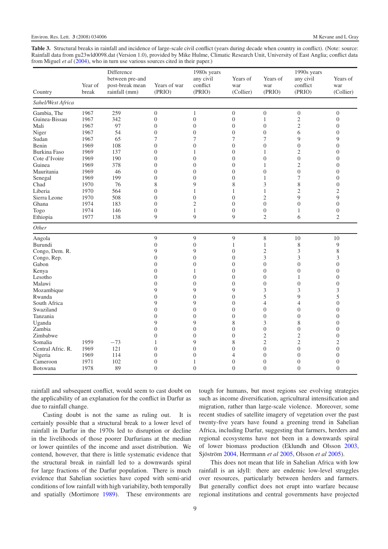<span id="page-10-0"></span>Table 3. Structural breaks in rainfall and incidence of large-scale civil conflict (years during decade when country in conflict). (Note: source: Rainfall data from gu23wld0098.dat (Version 1.0), provided by Mike Hulme, Climatic Research Unit, University of East Anglia; conflict data from Miguel *et al* [\(2004\)](#page-11-16), who in turn use various sources cited in their paper.)

| Country           | Year of<br>break | Difference<br>between pre-and<br>post-break mean<br>rainfall (mm) | Years of war<br>(PRIO) | 1980s years<br>any civil<br>conflict<br>(PRIO) | Years of<br>war<br>(Collier) | Years of<br>war<br>(PRIO) | 1990s years<br>any civil<br>conflict<br>(PRIO) | Years of<br>war<br>(Collier) |
|-------------------|------------------|-------------------------------------------------------------------|------------------------|------------------------------------------------|------------------------------|---------------------------|------------------------------------------------|------------------------------|
| Sahel/West Africa |                  |                                                                   |                        |                                                |                              |                           |                                                |                              |
| Gambia, The       | 1967             | 259                                                               | $\overline{0}$         | $\mathbf{1}$                                   | $\overline{0}$               | $\overline{0}$            | $\boldsymbol{0}$                               | $\overline{0}$               |
| Guinea-Bissau     | 1967             | 342                                                               | $\overline{0}$         | $\mathbf{0}$                                   | $\mathbf{0}$                 | $\mathbf{1}$              | $\overline{c}$                                 | $\boldsymbol{0}$             |
| Mali              | 1967             | 97                                                                | $\mathbf{0}$           | $\mathbf{0}$                                   | $\mathbf{0}$                 | $\boldsymbol{0}$          | $\overline{c}$                                 | $\overline{0}$               |
| Niger             | 1967             | 54                                                                | $\mathbf{0}$           | $\mathbf{0}$                                   | $\mathbf{0}$                 | $\boldsymbol{0}$          | 6                                              | $\theta$                     |
| Sudan             | 1967             | 65                                                                | 7                      | 7                                              | 7                            | $\overline{7}$            | 9                                              | 9                            |
| Benin             | 1969             | 108                                                               | $\overline{0}$         | $\overline{0}$                                 | $\overline{0}$               | $\overline{0}$            | $\overline{0}$                                 | $\overline{0}$               |
| Burkina Faso      | 1969             | 137                                                               | $\mathbf{0}$           | $\mathbf{1}$                                   | $\mathbf{0}$                 | $\mathbf{1}$              | $\overline{c}$                                 | $\overline{0}$               |
| Cote d'Ivoire     | 1969             | 190                                                               | $\overline{0}$         | $\overline{0}$                                 | $\overline{0}$               | $\overline{0}$            | $\overline{0}$                                 | $\overline{0}$               |
| Guinea            | 1969             | 378                                                               | $\theta$               | $\Omega$                                       | $\Omega$                     | $\mathbf{1}$              | 2                                              | $\theta$                     |
| Mauritania        | 1969             | 46                                                                | $\mathbf{0}$           | $\overline{0}$                                 | $\mathbf{0}$                 | $\boldsymbol{0}$          | $\boldsymbol{0}$                               | $\overline{0}$               |
| Senegal           | 1969             | 199                                                               | $\theta$               | $\overline{0}$                                 | $\overline{0}$               | $\mathbf{1}$              | 7                                              | $\overline{0}$               |
| Chad              | 1970             | 76                                                                | 8                      | 9                                              | 8                            | 3                         | 8                                              | $\boldsymbol{0}$             |
| Liberia           | 1970             | 564                                                               | $\overline{0}$         | 1                                              | $\mathbf{1}$                 | $\mathbf{1}$              | $\overline{c}$                                 | $\overline{c}$               |
| Sierra Leone      | 1970             | 508                                                               | $\overline{0}$         | $\overline{0}$                                 | $\overline{0}$               | $\overline{2}$            | 9                                              | 9                            |
| Ghana             | 1974             | 183                                                               | $\overline{0}$         | $\overline{c}$                                 | $\overline{0}$               | $\overline{0}$            | $\boldsymbol{0}$                               | $\overline{0}$               |
| Togo              | 1974             | 146                                                               | $\overline{0}$         | $\mathbf{1}$                                   | $\mathbf{0}$                 | $\overline{0}$            | 1                                              | $\overline{0}$               |
| Ethiopia          | 1977             | 138                                                               | 9                      | $\mathbf Q$                                    | 9                            | $\mathfrak{2}$            | 6                                              | 2                            |
| Other             |                  |                                                                   |                        |                                                |                              |                           |                                                |                              |
| Angola            |                  |                                                                   | $\overline{9}$         | 9                                              | $\overline{9}$               | 8                         | 10                                             | 10                           |
| Burundi           |                  |                                                                   | $\boldsymbol{0}$       | $\boldsymbol{0}$                               | $\mathbf{1}$                 | $\mathbf{1}$              | $8\,$                                          | 9                            |
| Congo, Dem. R.    |                  |                                                                   | 9                      | 9                                              | $\boldsymbol{0}$             | $\mathbf{2}$              | 3                                              | 8                            |
| Congo, Rep.       |                  |                                                                   | $\overline{0}$         | $\overline{0}$                                 | $\overline{0}$               | 3                         | 3                                              | 3                            |
| Gabon             |                  |                                                                   | $\overline{0}$         | $\overline{0}$                                 | $\overline{0}$               | $\overline{0}$            | $\overline{0}$                                 | $\overline{0}$               |
| Kenya             |                  |                                                                   | $\overline{0}$         | 1                                              | $\overline{0}$               | $\overline{0}$            | $\boldsymbol{0}$                               | $\boldsymbol{0}$             |
| Lesotho           |                  |                                                                   | $\theta$               | $\overline{0}$                                 | $\overline{0}$               | $\overline{0}$            | 1                                              | $\overline{0}$               |
| Malawi            |                  |                                                                   | $\overline{0}$         | $\boldsymbol{0}$                               | $\mathbf{0}$                 | $\boldsymbol{0}$          | $\overline{0}$                                 | $\mathbf{0}$                 |
| Mozambique        |                  |                                                                   | 9                      | 9                                              | 9                            | 3                         | 3                                              | 3                            |
| Rwanda            |                  |                                                                   | $\theta$               | $\boldsymbol{0}$                               | $\mathbf{0}$                 | 5                         | 9                                              | 5                            |
| South Africa      |                  |                                                                   | 9                      | 9                                              | $\overline{0}$               | $\overline{4}$            | $\overline{4}$                                 | $\overline{0}$               |
| Swaziland         |                  |                                                                   | $\theta$               | $\overline{0}$                                 | $\overline{0}$               | $\overline{0}$            | $\overline{0}$                                 | $\theta$                     |
| Tanzania          |                  |                                                                   | $\overline{0}$         | $\mathbf{0}$                                   | $\mathbf{0}$                 | $\boldsymbol{0}$          | $\boldsymbol{0}$                               | $\boldsymbol{0}$             |
| Uganda            |                  |                                                                   | 9                      | 9                                              | 8                            | 3                         | 8                                              | $\overline{0}$               |
| Zambia            |                  |                                                                   | $\theta$               | $\overline{0}$                                 | $\overline{0}$               | $\boldsymbol{0}$          | $\overline{0}$                                 | $\theta$                     |
| Zimbabwe          |                  |                                                                   | $\mathbf{0}$           | $\overline{0}$                                 | $\mathbf{0}$                 | $\mathfrak{2}$            | $\overline{c}$                                 | $\boldsymbol{0}$             |
| Somalia           | 1959             | $-73$                                                             | 1                      | 9                                              | 8                            | $\overline{2}$            | $\overline{c}$                                 | $\overline{2}$               |
| Central Afric. R. | 1969             | 121                                                               | $\mathbf{0}$           | $\mathbf{0}$                                   | $\mathbf{0}$                 | $\boldsymbol{0}$          | $\boldsymbol{0}$                               | $\overline{0}$               |
| Nigeria           | 1969             | 114                                                               | $\overline{0}$         | $\overline{0}$                                 | $\overline{4}$               | $\boldsymbol{0}$          | $\overline{0}$                                 | $\overline{0}$               |
| Cameroon          | 1971             | 102                                                               | $\overline{0}$         | 1                                              | $\overline{0}$               | $\overline{0}$            | $\overline{0}$                                 | $\overline{0}$               |
| <b>Botswana</b>   | 1978             | 89                                                                | $\overline{0}$         | $\overline{0}$                                 | $\overline{0}$               | $\overline{0}$            | $\overline{0}$                                 | $\overline{0}$               |

rainfall and subsequent conflict, would seem to cast doubt on the applicability of an explanation for the conflict in Darfur as due to rainfall change.

Casting doubt is not the same as ruling out. It is certainly possible that a structural break to a lower level of rainfall in Darfur in the 1970s led to disruption or decline in the livelihoods of those poorer Darfurians at the median or lower quintiles of the income and asset distribution. We contend, however, that there is little systematic evidence that the structural break in rainfall led to a downwards spiral for large fractions of the Darfur population. There is much evidence that Sahelian societies have coped with semi-arid conditions of low rainfall with high variability, both temporally and spatially (Mortimore [1989\)](#page-11-21). These environments are

tough for humans, but most regions see evolving strategies such as income diversification, agricultural intensification and migration, rather than large-scale violence. Moreover, some recent studies of satellite imagery of vegetation over the past twenty-five years have found a greening trend in Sahelian Africa, including Darfur, suggesting that farmers, herders and regional ecosystems have not been in a downwards spiral of lower biomass production (Eklundh and Olsson [2003,](#page-11-28) Sjöström [2004,](#page-11-29) Herrmann *et al* [2005,](#page-11-30) Olsson *et al* [2005\)](#page-11-31).

This does not mean that life in Sahelian Africa with low rainfall is an idyll: there are endemic low-level struggles over resources, particularly between herders and farmers. But generally conflict does not erupt into warfare because regional institutions and central governments have projected